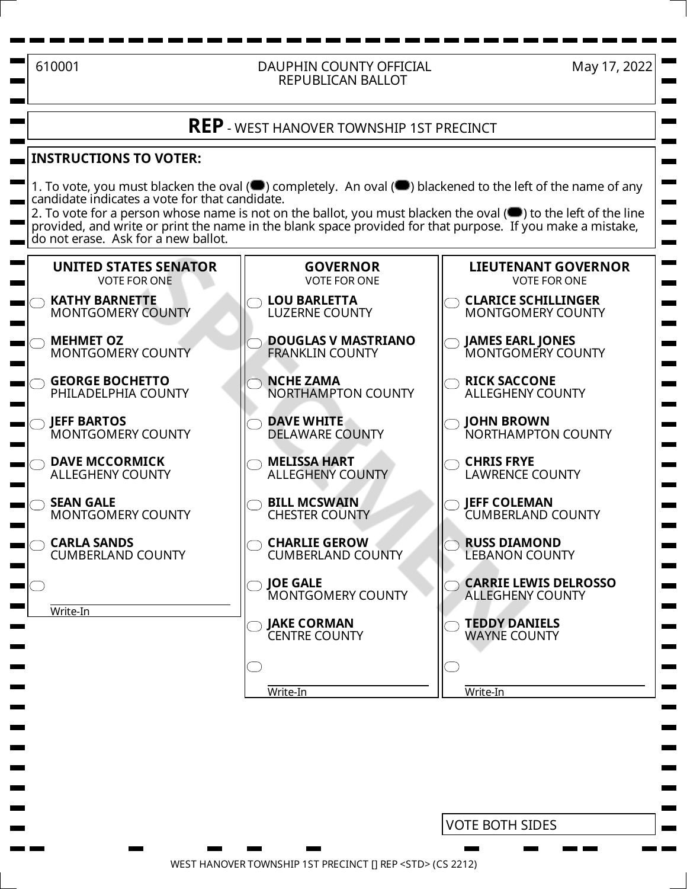## 610001 DAUPHIN COUNTY OFFICIAL REPUBLICAN BALLOT

May 17, 2022

## **REP** - WEST HANOVER TOWNSHIP 1ST PRECINCT

## **INSTRUCTIONS TO VOTER:**

1. To vote, you must blacken the oval ( $\blacksquare$ ) completely. An oval ( $\blacksquare$ ) blackened to the left of the name of any candidate indicates a vote for that candidate.

2. To vote for a person whose name is not on the ballot, you must blacken the oval  $($ **•**) to the left of the line provided, and write or print the name in the blank space provided for that purpose. If you make a mistake, do not erase. Ask for a new ballot.